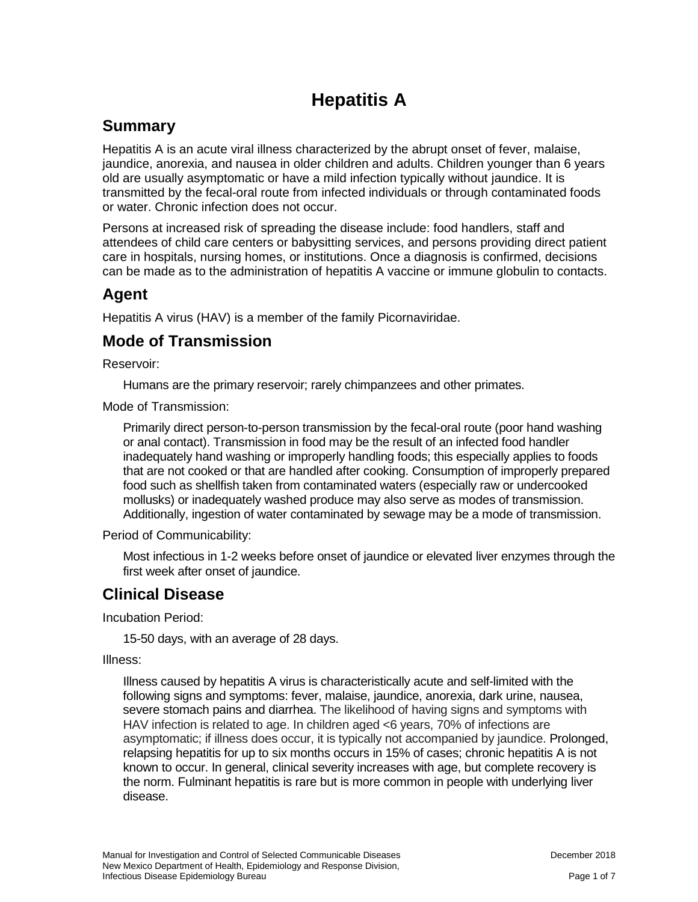# **Hepatitis A**

## **Summary**

Hepatitis A is an acute viral illness characterized by the abrupt onset of fever, malaise, jaundice, anorexia, and nausea in older children and adults. Children younger than 6 years old are usually asymptomatic or have a mild infection typically without jaundice. It is transmitted by the fecal-oral route from infected individuals or through contaminated foods or water. Chronic infection does not occur.

Persons at increased risk of spreading the disease include: food handlers, staff and attendees of child care centers or babysitting services, and persons providing direct patient care in hospitals, nursing homes, or institutions. Once a diagnosis is confirmed, decisions can be made as to the administration of hepatitis A vaccine or immune globulin to contacts.

### **Agent**

Hepatitis A virus (HAV) is a member of the family Picornaviridae.

### **Mode of Transmission**

Reservoir:

Humans are the primary reservoir; rarely chimpanzees and other primates.

Mode of Transmission:

Primarily direct person-to-person transmission by the fecal-oral route (poor hand washing or anal contact). Transmission in food may be the result of an infected food handler inadequately hand washing or improperly handling foods; this especially applies to foods that are not cooked or that are handled after cooking. Consumption of improperly prepared food such as shellfish taken from contaminated waters (especially raw or undercooked mollusks) or inadequately washed produce may also serve as modes of transmission. Additionally, ingestion of water contaminated by sewage may be a mode of transmission.

Period of Communicability:

Most infectious in 1-2 weeks before onset of jaundice or elevated liver enzymes through the first week after onset of jaundice.

# **Clinical Disease**

Incubation Period:

15-50 days, with an average of 28 days.

Illness:

Illness caused by hepatitis A virus is characteristically acute and self-limited with the following signs and symptoms: fever, malaise, jaundice, anorexia, dark urine, nausea, severe stomach pains and diarrhea. The likelihood of having signs and symptoms with HAV infection is related to age. In children aged <6 years, 70% of infections are asymptomatic; if illness does occur, it is typically not accompanied by jaundice. Prolonged, relapsing hepatitis for up to six months occurs in 15% of cases; chronic hepatitis A is not known to occur. In general, clinical severity increases with age, but complete recovery is the norm. Fulminant hepatitis is rare but is more common in people with underlying liver disease.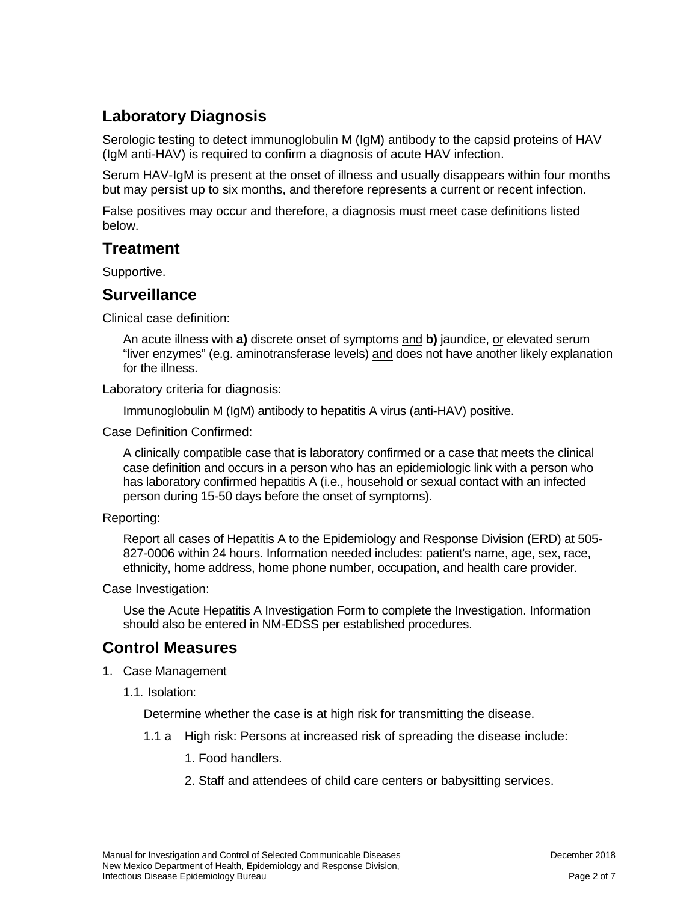# **Laboratory Diagnosis**

Serologic testing to detect immunoglobulin M (IgM) antibody to the capsid proteins of HAV (IgM anti-HAV) is required to confirm a diagnosis of acute HAV infection.

Serum HAV-IgM is present at the onset of illness and usually disappears within four months but may persist up to six months, and therefore represents a current or recent infection.

False positives may occur and therefore, a diagnosis must meet case definitions listed below.

### **Treatment**

Supportive.

### **Surveillance**

Clinical case definition:

An acute illness with **a)** discrete onset of symptoms and **b)** jaundice, or elevated serum "liver enzymes" (e.g. aminotransferase levels) and does not have another likely explanation for the illness.

Laboratory criteria for diagnosis:

Immunoglobulin M (IgM) antibody to hepatitis A virus (anti-HAV) positive.

Case Definition Confirmed:

A clinically compatible case that is laboratory confirmed or a case that meets the clinical case definition and occurs in a person who has an epidemiologic link with a person who has laboratory confirmed hepatitis A (i.e., household or sexual contact with an infected person during 15-50 days before the onset of symptoms).

### Reporting:

Report all cases of Hepatitis A to the Epidemiology and Response Division (ERD) at 505- 827-0006 within 24 hours. Information needed includes: patient's name, age, sex, race, ethnicity, home address, home phone number, occupation, and health care provider.

Case Investigation:

Use the Acute Hepatitis A Investigation Form to complete the Investigation. Information should also be entered in NM-EDSS per established procedures.

### **Control Measures**

- 1. Case Management
	- 1.1. Isolation:

Determine whether the case is at high risk for transmitting the disease.

1.1 a High risk: Persons at increased risk of spreading the disease include:

1. Food handlers.

2. Staff and attendees of child care centers or babysitting services.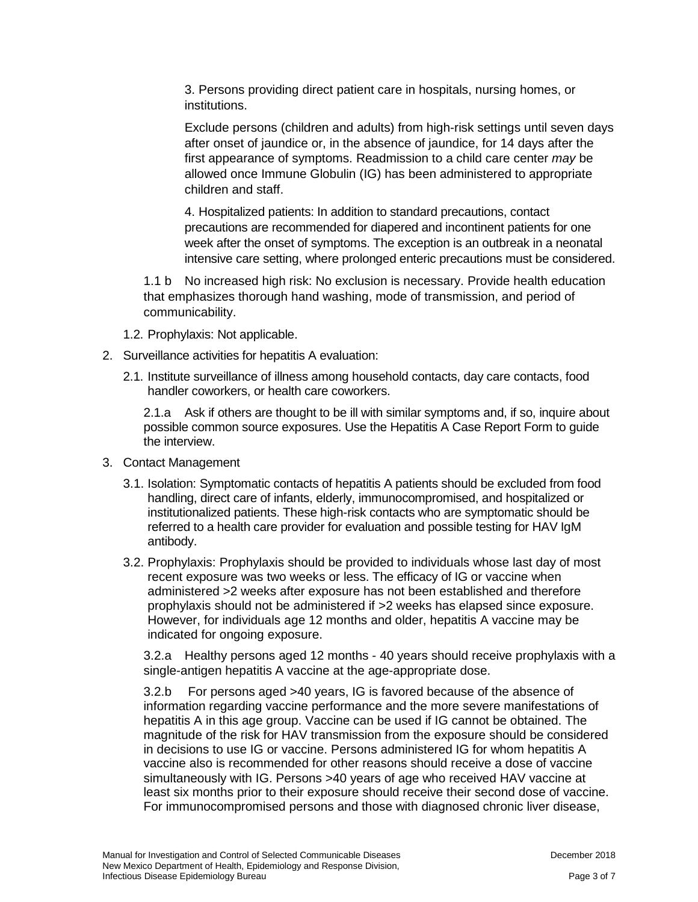3. Persons providing direct patient care in hospitals, nursing homes, or institutions.

Exclude persons (children and adults) from high-risk settings until seven days after onset of jaundice or, in the absence of jaundice, for 14 days after the first appearance of symptoms. Readmission to a child care center *may* be allowed once Immune Globulin (IG) has been administered to appropriate children and staff.

4. Hospitalized patients: In addition to standard precautions, contact precautions are recommended for diapered and incontinent patients for one week after the onset of symptoms. The exception is an outbreak in a neonatal intensive care setting, where prolonged enteric precautions must be considered.

1.1 b No increased high risk: No exclusion is necessary. Provide health education that emphasizes thorough hand washing, mode of transmission, and period of communicability.

- 1.2. Prophylaxis: Not applicable.
- 2. Surveillance activities for hepatitis A evaluation:
	- 2.1. Institute surveillance of illness among household contacts, day care contacts, food handler coworkers, or health care coworkers.

2.1.a Ask if others are thought to be ill with similar symptoms and, if so, inquire about possible common source exposures. Use the Hepatitis A Case Report Form to guide the interview.

- 3. Contact Management
	- 3.1. Isolation: Symptomatic contacts of hepatitis A patients should be excluded from food handling, direct care of infants, elderly, immunocompromised, and hospitalized or institutionalized patients. These high-risk contacts who are symptomatic should be referred to a health care provider for evaluation and possible testing for HAV IgM antibody.
	- 3.2. Prophylaxis: Prophylaxis should be provided to individuals whose last day of most recent exposure was two weeks or less. The efficacy of IG or vaccine when administered >2 weeks after exposure has not been established and therefore prophylaxis should not be administered if >2 weeks has elapsed since exposure. However, for individuals age 12 months and older, hepatitis A vaccine may be indicated for ongoing exposure.

3.2.a Healthy persons aged 12 months - 40 years should receive prophylaxis with a single-antigen hepatitis A vaccine at the age-appropriate dose.

3.2.b For persons aged >40 years, IG is favored because of the absence of information regarding vaccine performance and the more severe manifestations of hepatitis A in this age group. Vaccine can be used if IG cannot be obtained. The magnitude of the risk for HAV transmission from the exposure should be considered in decisions to use IG or vaccine. Persons administered IG for whom hepatitis A vaccine also is recommended for other reasons should receive a dose of vaccine simultaneously with IG. Persons >40 years of age who received HAV vaccine at least six months prior to their exposure should receive their second dose of vaccine. For immunocompromised persons and those with diagnosed chronic liver disease,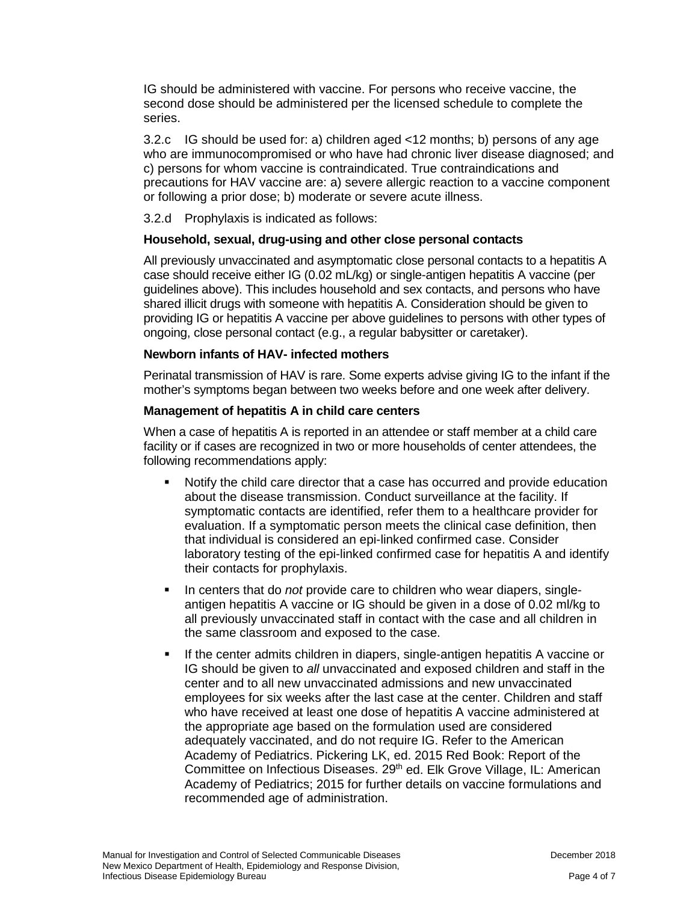IG should be administered with vaccine. For persons who receive vaccine, the second dose should be administered per the licensed schedule to complete the series.

3.2.c IG should be used for: a) children aged <12 months; b) persons of any age who are immunocompromised or who have had chronic liver disease diagnosed; and c) persons for whom vaccine is contraindicated. True contraindications and precautions for HAV vaccine are: a) severe allergic reaction to a vaccine component or following a prior dose; b) moderate or severe acute illness.

3.2.d Prophylaxis is indicated as follows:

#### **Household, sexual, drug-using and other close personal contacts**

All previously unvaccinated and asymptomatic close personal contacts to a hepatitis A case should receive either IG (0.02 mL/kg) or single-antigen hepatitis A vaccine (per guidelines above). This includes household and sex contacts, and persons who have shared illicit drugs with someone with hepatitis A. Consideration should be given to providing IG or hepatitis A vaccine per above guidelines to persons with other types of ongoing, close personal contact (e.g., a regular babysitter or caretaker).

#### **Newborn infants of HAV- infected mothers**

Perinatal transmission of HAV is rare. Some experts advise giving IG to the infant if the mother's symptoms began between two weeks before and one week after delivery.

#### **Management of hepatitis A in child care centers**

When a case of hepatitis A is reported in an attendee or staff member at a child care facility or if cases are recognized in two or more households of center attendees, the following recommendations apply:

- Notify the child care director that a case has occurred and provide education about the disease transmission. Conduct surveillance at the facility. If symptomatic contacts are identified, refer them to a healthcare provider for evaluation. If a symptomatic person meets the clinical case definition, then that individual is considered an epi-linked confirmed case. Consider laboratory testing of the epi-linked confirmed case for hepatitis A and identify their contacts for prophylaxis.
- In centers that do *not* provide care to children who wear diapers, singleantigen hepatitis A vaccine or IG should be given in a dose of 0.02 ml/kg to all previously unvaccinated staff in contact with the case and all children in the same classroom and exposed to the case.
- If the center admits children in diapers, single-antigen hepatitis A vaccine or IG should be given to *all* unvaccinated and exposed children and staff in the center and to all new unvaccinated admissions and new unvaccinated employees for six weeks after the last case at the center. Children and staff who have received at least one dose of hepatitis A vaccine administered at the appropriate age based on the formulation used are considered adequately vaccinated, and do not require IG. Refer to the American Academy of Pediatrics. Pickering LK, ed. 2015 Red Book: Report of the Committee on Infectious Diseases. 29<sup>th</sup> ed. Elk Grove Village, IL: American Academy of Pediatrics; 2015 for further details on vaccine formulations and recommended age of administration.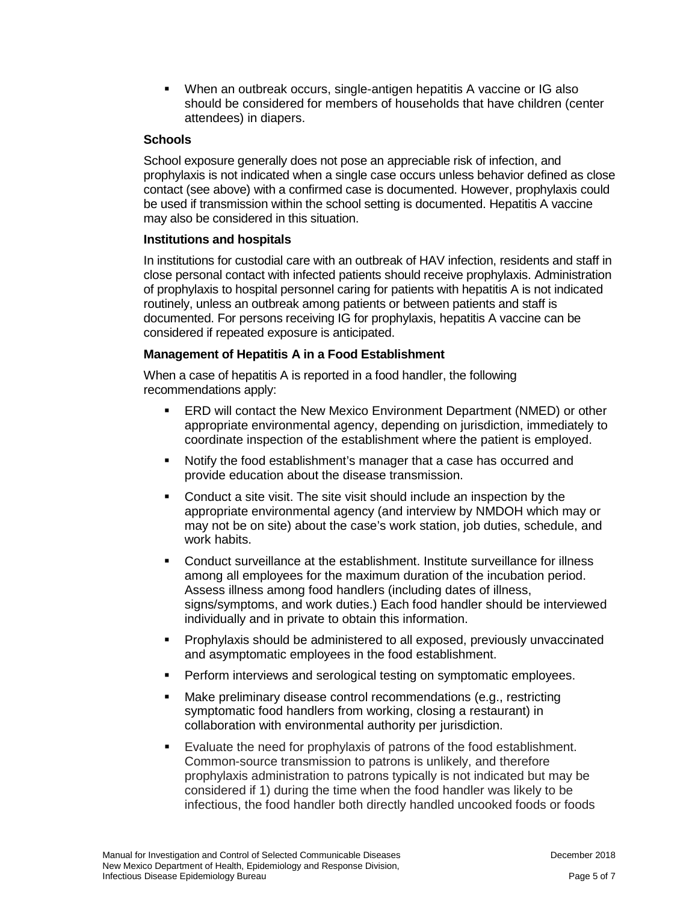When an outbreak occurs, single-antigen hepatitis A vaccine or IG also should be considered for members of households that have children (center attendees) in diapers.

### **Schools**

School exposure generally does not pose an appreciable risk of infection, and prophylaxis is not indicated when a single case occurs unless behavior defined as close contact (see above) with a confirmed case is documented. However, prophylaxis could be used if transmission within the school setting is documented. Hepatitis A vaccine may also be considered in this situation.

#### **Institutions and hospitals**

In institutions for custodial care with an outbreak of HAV infection, residents and staff in close personal contact with infected patients should receive prophylaxis. Administration of prophylaxis to hospital personnel caring for patients with hepatitis A is not indicated routinely, unless an outbreak among patients or between patients and staff is documented. For persons receiving IG for prophylaxis, hepatitis A vaccine can be considered if repeated exposure is anticipated.

#### **Management of Hepatitis A in a Food Establishment**

When a case of hepatitis A is reported in a food handler, the following recommendations apply:

- ERD will contact the New Mexico Environment Department (NMED) or other appropriate environmental agency, depending on jurisdiction, immediately to coordinate inspection of the establishment where the patient is employed.
- Notify the food establishment's manager that a case has occurred and provide education about the disease transmission.
- Conduct a site visit. The site visit should include an inspection by the appropriate environmental agency (and interview by NMDOH which may or may not be on site) about the case's work station, job duties, schedule, and work habits.
- Conduct surveillance at the establishment. Institute surveillance for illness among all employees for the maximum duration of the incubation period. Assess illness among food handlers (including dates of illness, signs/symptoms, and work duties.) Each food handler should be interviewed individually and in private to obtain this information.
- Prophylaxis should be administered to all exposed, previously unvaccinated and asymptomatic employees in the food establishment.
- Perform interviews and serological testing on symptomatic employees.
- **Make preliminary disease control recommendations (e.g., restricting** symptomatic food handlers from working, closing a restaurant) in collaboration with environmental authority per jurisdiction.
- Evaluate the need for prophylaxis of patrons of the food establishment. Common-source transmission to patrons is unlikely, and therefore prophylaxis administration to patrons typically is not indicated but may be considered if 1) during the time when the food handler was likely to be infectious, the food handler both directly handled uncooked foods or foods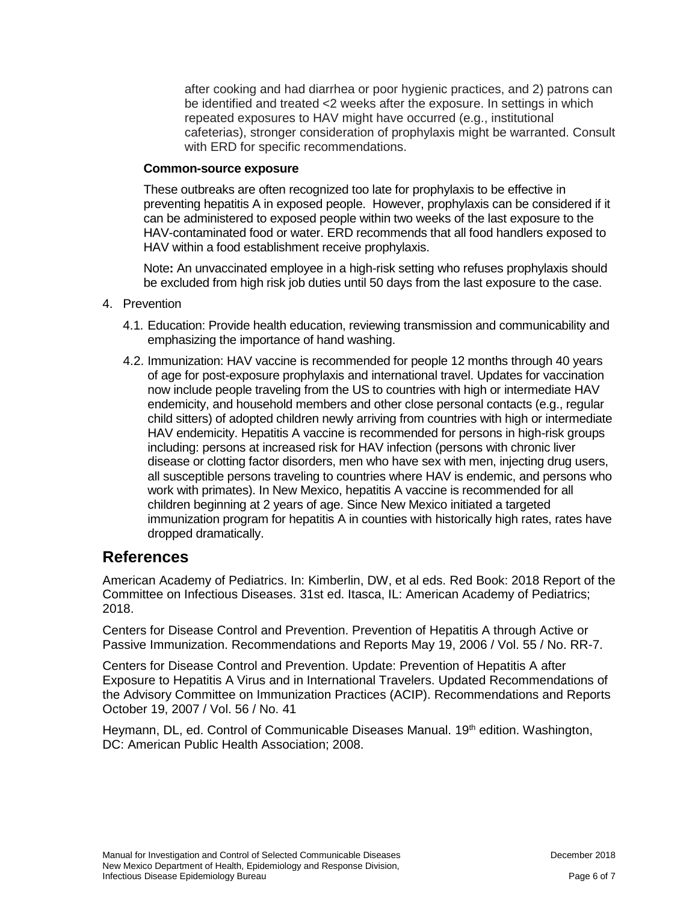after cooking and had diarrhea or poor hygienic practices, and 2) patrons can be identified and treated <2 weeks after the exposure. In settings in which repeated exposures to HAV might have occurred (e.g., institutional cafeterias), stronger consideration of prophylaxis might be warranted. Consult with ERD for specific recommendations.

### **Common-source exposure**

These outbreaks are often recognized too late for prophylaxis to be effective in preventing hepatitis A in exposed people. However, prophylaxis can be considered if it can be administered to exposed people within two weeks of the last exposure to the HAV-contaminated food or water. ERD recommends that all food handlers exposed to HAV within a food establishment receive prophylaxis.

Note**:** An unvaccinated employee in a high-risk setting who refuses prophylaxis should be excluded from high risk job duties until 50 days from the last exposure to the case.

- 4. Prevention
	- 4.1. Education: Provide health education, reviewing transmission and communicability and emphasizing the importance of hand washing.
	- 4.2. Immunization: HAV vaccine is recommended for people 12 months through 40 years of age for post-exposure prophylaxis and international travel. Updates for vaccination now include people traveling from the US to countries with high or intermediate HAV endemicity, and household members and other close personal contacts (e.g., regular child sitters) of adopted children newly arriving from countries with high or intermediate HAV endemicity. Hepatitis A vaccine is recommended for persons in high-risk groups including: persons at increased risk for HAV infection (persons with chronic liver disease or clotting factor disorders, men who have sex with men, injecting drug users, all susceptible persons traveling to countries where HAV is endemic, and persons who work with primates). In New Mexico, hepatitis A vaccine is recommended for all children beginning at 2 years of age. Since New Mexico initiated a targeted immunization program for hepatitis A in counties with historically high rates, rates have dropped dramatically.

### **References**

American Academy of Pediatrics. In: Kimberlin, DW, et al eds. Red Book: 2018 Report of the Committee on Infectious Diseases. 31st ed. Itasca, IL: American Academy of Pediatrics; 2018.

Centers for Disease Control and Prevention. Prevention of Hepatitis A through Active or Passive Immunization. Recommendations and Reports May 19, 2006 / Vol. 55 / No. RR-7.

Centers for Disease Control and Prevention. Update: Prevention of Hepatitis A after Exposure to Hepatitis A Virus and in International Travelers. Updated Recommendations of the Advisory Committee on Immunization Practices (ACIP). Recommendations and Reports October 19, 2007 / Vol. 56 / No. 41

Heymann, DL, ed. Control of Communicable Diseases Manual. 19<sup>th</sup> edition. Washington, DC: American Public Health Association; 2008.